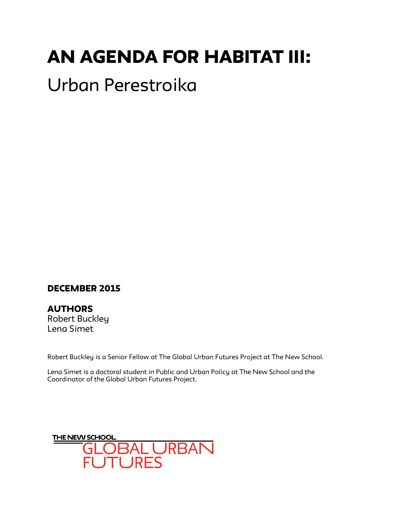# AN AGENDA FOR HABITAT III:

## Urban Perestroika

## DECEMBER 2015

**AUTHORS** Robert Buckley Lena Simet

Robert Buckley is a Senior Fellow at The Global Urban Futures Project at The New School.

Lena Simet is a doctoral student in Public and Urban Policy at The New School and the Coordinator of the Global Urban Futures Project.